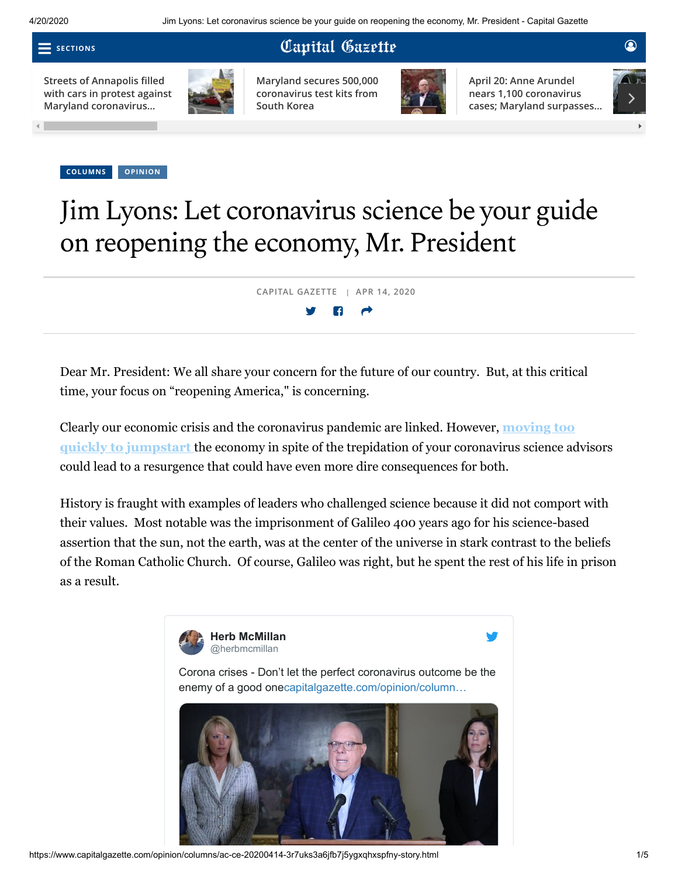**SECTIONS**

## Capital Gazette

**Streets of Annapolis filled [with cars in protest against](https://www.capitalgazette.com/coronavirus/ac-cn-annapolis-coronavirus-protest-20200418-xid4soymqvhxflavkw7trxji7q-story.html#nt=tertiarynavbar&nt=ticker) Maryland coronavirus…**



**[Maryland secures 500,000](https://www.capitalgazette.com/coronavirus/bs-md-hogan-testing-20200420-atxs3grvbjdgphzzt4tfhuhnbm-story.html#nt=tertiarynavbar&nt=ticker) coronavirus test kits from South Korea**



**April 20: Anne Arundel nears 1,100 coronavirus [cases; Maryland surpasses…](https://www.capitalgazette.com/coronavirus/ac-cn-anne-arundel-coronavirus-cases-20200420-20200420-v4thiqwwsnhfdjqq6e5fvihcai-story.html#nt=tertiarynavbar&nt=ticker)**



**[COLUMNS](https://www.capitalgazette.com/opinion/columns/#nt=taxonomy-article) [OPINION](https://www.capitalgazette.com/opinion/#nt=taxonomy-article)**

## Jim Lyons:Let coronavirus science be your guide on reopening the economy, Mr. President

**CAPITAL GAZETTE | APR 14, 2020**

Dear Mr. President: We all share your concern for the future of our country. But, at this critical time, your focus on "reopening America," is concerning.

[Clearly our economic crisis and the coronavirus pandemic are linked. However,](https://www.capitalgazette.com/coronavirus/ct-nw-andrew-cuomo-donald-trump-states-coronavirus-20200414-cpkur4ljpjawlhayw6z3jw7ivi-story.html) **moving too quickly to jumpstart** the economy in spite of the trepidation of your coronavirus science advisors could lead to a resurgence that could have even more dire consequences for both.

History is fraught with examples of leaders who challenged science because it did not comport with their values. Most notable was the imprisonment of Galileo 400 years ago for his science-based assertion that the sun, not the earth, was at the center of the universe in stark contrast to the beliefs of the Roman Catholic Church. Of course, Galileo was right, but he spent the rest of his life in prison as a result.

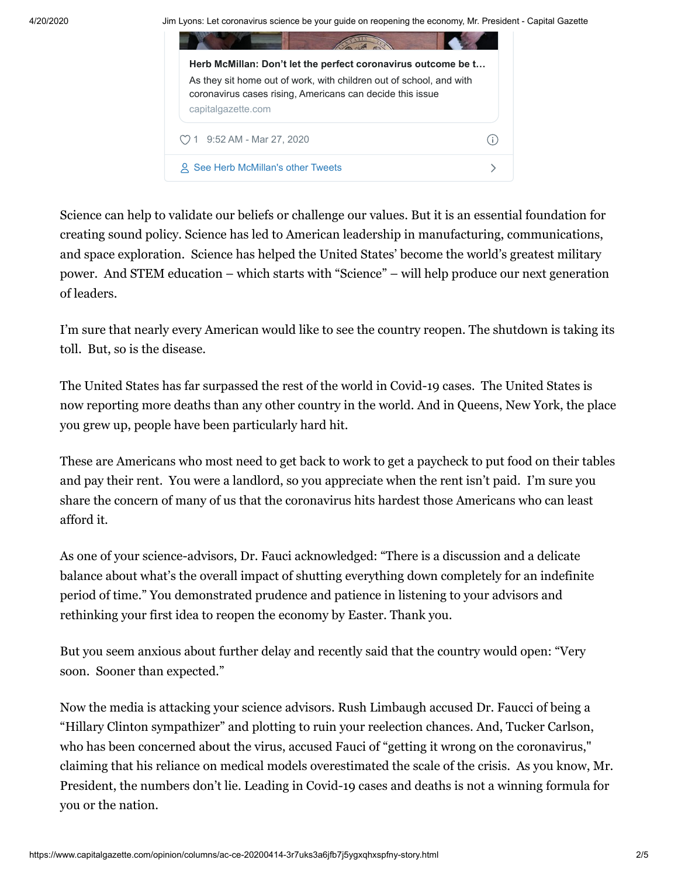4/20/2020 Jim Lyons: Let coronavirus science be your quide on reopening the economy, Mr. President - Capital Gazette



Science can help to validate our beliefs or challenge our values. But it is an essential foundation for creating sound policy. Science has led to American leadership in manufacturing, communications, and space exploration. Science has helped the United States' become the world's greatest military power. And STEM education – which starts with "Science" – will help produce our next generation of leaders.

I'm sure that nearly every American would like to see the country reopen. The shutdown is taking its toll. But, so is the disease.

The United States has far surpassed the rest of the world in Covid-19 cases. The United States is now reporting more deaths than any other country in the world. And in Queens, New York, the place you grew up, people have been particularly hard hit.

These are Americans who most need to get back to work to get a paycheck to put food on their tables and pay their rent. You were a landlord, so you appreciate when the rent isn't paid. I'm sure you share the concern of many of us that the coronavirus hits hardest those Americans who can least afford it.

As one of your science-advisors, Dr. Fauci acknowledged: "There is a discussion and a delicate balance about what's the overall impact of shutting everything down completely for an indefinite period of time." You demonstrated prudence and patience in listening to your advisors and rethinking your first idea to reopen the economy by Easter. Thank you.

But you seem anxious about further delay and recently said that the country would open: "Very soon. Sooner than expected."

Now the media is attacking your science advisors. Rush Limbaugh accused Dr. Faucci of being a "Hillary Clinton sympathizer" and plotting to ruin your reelection chances. And, Tucker Carlson, who has been concerned about the virus, accused Fauci of "getting it wrong on the coronavirus," claiming that his reliance on medical models overestimated the scale of the crisis. As you know, Mr. President, the numbers don't lie. Leading in Covid-19 cases and deaths is not a winning formula for you or the nation.